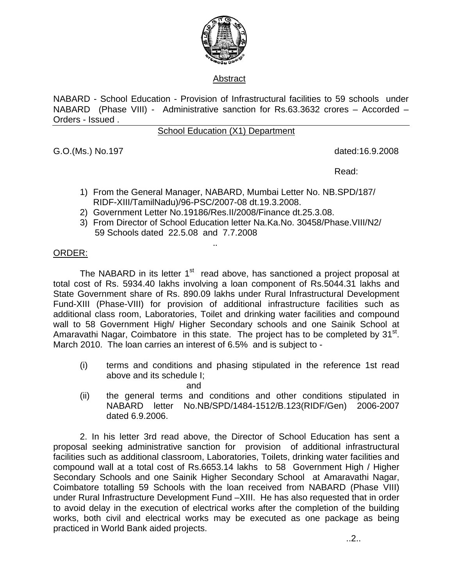

## Abstract

NABARD - School Education - Provision of Infrastructural facilities to 59 schools under NABARD (Phase VIII) - Administrative sanction for Rs.63.3632 crores – Accorded – Orders - Issued .

## School Education (X1) Department

G.O.(Ms.) No.197 dated:16.9.2008

**Read:** The contract of the contract of the contract of the Read:

- 1) From the General Manager, NABARD, Mumbai Letter No. NB.SPD/187/ RIDF-XIII/TamilNadu)/96-PSC/2007-08 dt.19.3.2008.
- 2) Government Letter No.19186/Res.II/2008/Finance dt.25.3.08.
- 3) From Director of School Education letter Na.Ka.No. 30458/Phase.VIII/N2/ 59 Schools dated 22.5.08 and 7.7.2008

## .. ORDER:

The NABARD in its letter  $1<sup>st</sup>$  read above, has sanctioned a project proposal at total cost of Rs. 5934.40 lakhs involving a loan component of Rs.5044.31 lakhs and State Government share of Rs. 890.09 lakhs under Rural Infrastructural Development Fund-XIII (Phase-VIII) for provision of additional infrastructure facilities such as additional class room, Laboratories, Toilet and drinking water facilities and compound wall to 58 Government High/ Higher Secondary schools and one Sainik School at Amaravathi Nagar, Coimbatore in this state. The project has to be completed by  $31<sup>st</sup>$ . March 2010. The loan carries an interest of 6.5% and is subject to -

- (i) terms and conditions and phasing stipulated in the reference 1st read above and its schedule I;
- and the contract of the contract of the contract of the contract of the contract of the contract of the contract of the contract of the contract of the contract of the contract of the contract of the contract of the contra (ii) the general terms and conditions and other conditions stipulated in NABARD letter No.NB/SPD/1484-1512/B.123(RIDF/Gen) 2006-2007 dated 6.9.2006.

 2. In his letter 3rd read above, the Director of School Education has sent a proposal seeking administrative sanction for provision of additional infrastructural facilities such as additional classroom, Laboratories, Toilets, drinking water facilities and compound wall at a total cost of Rs.6653.14 lakhs to 58 Government High / Higher Secondary Schools and one Sainik Higher Secondary School at Amaravathi Nagar, Coimbatore totalling 59 Schools with the loan received from NABARD (Phase VIII) under Rural Infrastructure Development Fund –XIII. He has also requested that in order to avoid delay in the execution of electrical works after the completion of the building works, both civil and electrical works may be executed as one package as being practiced in World Bank aided projects.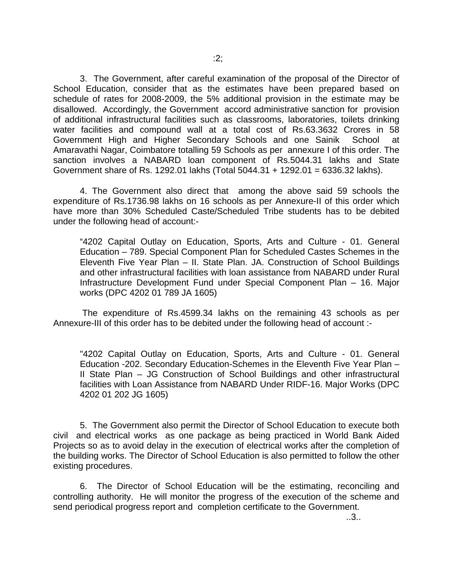3. The Government, after careful examination of the proposal of the Director of School Education, consider that as the estimates have been prepared based on schedule of rates for 2008-2009, the 5% additional provision in the estimate may be disallowed. Accordingly, the Government accord administrative sanction for provision of additional infrastructural facilities such as classrooms, laboratories, toilets drinking water facilities and compound wall at a total cost of Rs.63.3632 Crores in 58 Government High and Higher Secondary Schools and one Sainik School at Amaravathi Nagar, Coimbatore totalling 59 Schools as per annexure I of this order. The sanction involves a NABARD loan component of Rs.5044.31 lakhs and State Government share of Rs. 1292.01 lakhs (Total 5044.31 + 1292.01 = 6336.32 lakhs).

4. The Government also direct that among the above said 59 schools the expenditure of Rs.1736.98 lakhs on 16 schools as per Annexure-II of this order which have more than 30% Scheduled Caste/Scheduled Tribe students has to be debited under the following head of account:-

"4202 Capital Outlay on Education, Sports, Arts and Culture - 01. General Education – 789. Special Component Plan for Scheduled Castes Schemes in the Eleventh Five Year Plan – II. State Plan. JA. Construction of School Buildings and other infrastructural facilities with loan assistance from NABARD under Rural Infrastructure Development Fund under Special Component Plan – 16. Major works (DPC 4202 01 789 JA 1605)

 The expenditure of Rs.4599.34 lakhs on the remaining 43 schools as per Annexure-III of this order has to be debited under the following head of account :-

"4202 Capital Outlay on Education, Sports, Arts and Culture - 01. General Education -202. Secondary Education-Schemes in the Eleventh Five Year Plan – II State Plan – JG Construction of School Buildings and other infrastructural facilities with Loan Assistance from NABARD Under RIDF-16. Major Works (DPC 4202 01 202 JG 1605)

5. The Government also permit the Director of School Education to execute both civil and electrical works as one package as being practiced in World Bank Aided Projects so as to avoid delay in the execution of electrical works after the completion of the building works. The Director of School Education is also permitted to follow the other existing procedures.

6. The Director of School Education will be the estimating, reconciling and controlling authority. He will monitor the progress of the execution of the scheme and send periodical progress report and completion certificate to the Government.

..3..